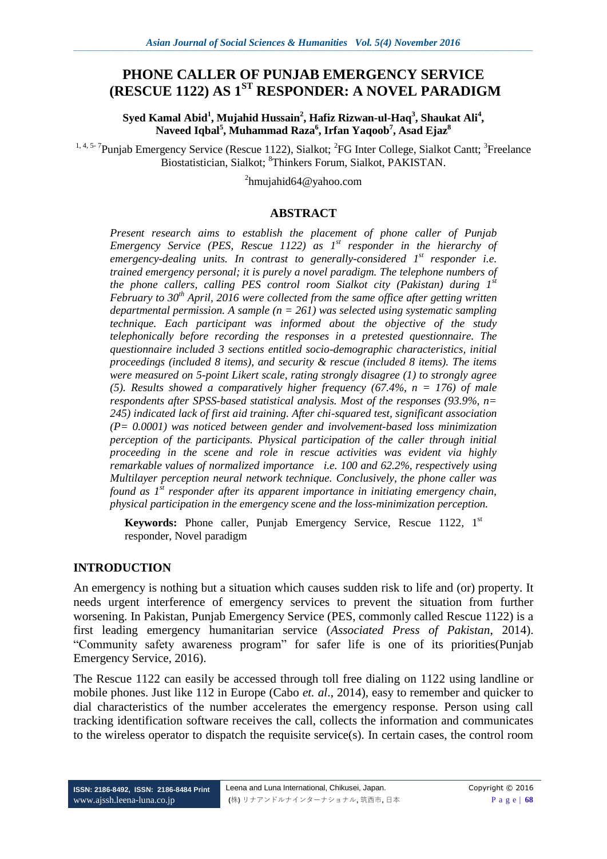# **PHONE CALLER OF PUNJAB EMERGENCY SERVICE (RESCUE 1122) AS 1ST RESPONDER: A NOVEL PARADIGM**

**Syed Kamal Abid<sup>1</sup> , Mujahid Hussain<sup>2</sup> , Hafiz Rizwan-ul-Haq<sup>3</sup> , Shaukat Ali<sup>4</sup> , Naveed Iqbal<sup>5</sup> , Muhammad Raza<sup>6</sup> , Irfan Yaqoob<sup>7</sup> , Asad Ejaz<sup>8</sup>**

<sup>1, 4, 5-7</sup>Punjab Emergency Service (Rescue 1122), Sialkot; <sup>2</sup>FG Inter College, Sialkot Cantt; <sup>3</sup>Freelance Biostatistician, Sialkot; <sup>8</sup>Thinkers Forum, Sialkot, PAKISTAN.

<sup>2</sup>hmujahid64@yahoo.com

### **ABSTRACT**

*Present research aims to establish the placement of phone caller of Punjab Emergency Service (PES, Rescue 1122) as 1st responder in the hierarchy of emergency-dealing units. In contrast to generally-considered 1st responder i.e. trained emergency personal; it is purely a novel paradigm. The telephone numbers of the phone callers, calling PES control room Sialkot city (Pakistan) during 1st February to 30th April, 2016 were collected from the same office after getting written departmental permission. A sample (n = 261) was selected using systematic sampling technique. Each participant was informed about the objective of the study telephonically before recording the responses in a pretested questionnaire. The questionnaire included 3 sections entitled socio-demographic characteristics, initial proceedings (included 8 items), and security & rescue (included 8 items). The items were measured on 5-point Likert scale, rating strongly disagree (1) to strongly agree (5). Results showed a comparatively higher frequency (67.4%, n = 176) of male respondents after SPSS-based statistical analysis. Most of the responses (93.9%, n= 245) indicated lack of first aid training. After chi-squared test, significant association (P= 0.0001) was noticed between gender and involvement-based loss minimization perception of the participants. Physical participation of the caller through initial proceeding in the scene and role in rescue activities was evident via highly remarkable values of normalized importance i.e. 100 and 62.2%, respectively using Multilayer perception neural network technique. Conclusively, the phone caller was found as 1st responder after its apparent importance in initiating emergency chain, physical participation in the emergency scene and the loss-minimization perception.* 

**Keywords:** Phone caller, Punjab Emergency Service, Rescue 1122, 1<sup>st</sup> responder, Novel paradigm

## **INTRODUCTION**

An emergency is nothing but a situation which causes sudden risk to life and (or) [property.](https://en.wikipedia.org/wiki/Property) It needs urgent interference of emergency services to prevent the situation from further worsening. In Pakistan, Punjab Emergency Service (PES, commonly called Rescue 1122) is a first leading emergency humanitarian service (*Associated Press of Pakistan*, 2014). "Community safety awareness program" for safer life is one of its priorities(Punjab Emergency Service, 2016).

The Rescue 1122 can easily be accessed through toll free dialing on 1122 using landline or mobile phones. Just like 112 in Europe (Cabo *et. al*., 2014), easy to remember and quicker to dial characteristics of the number accelerates the emergency response. Person using call tracking identification software receives the call, collects the information and communicates to the wireless operator to dispatch the requisite service(s). In certain cases, the control room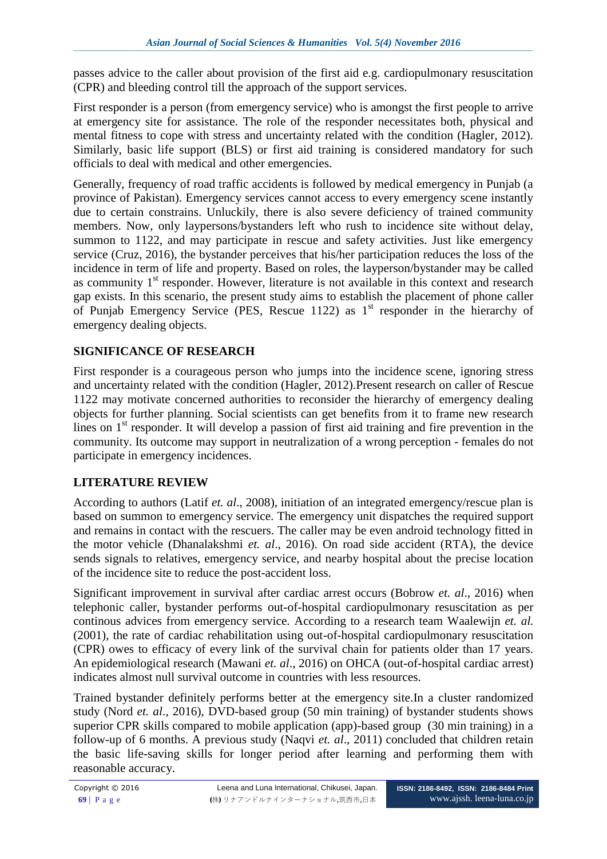passes advice to the caller about provision of the first aid e.g. cardiopulmonary resuscitation (CPR) and bleeding control till the approach of the support services.

First responder is a person (from emergency service) who is amongst the first people to arrive at emergency site for assistance. The role of the responder necessitates both, physical and mental fitness to cope with stress and uncertainty related with the condition (Hagler, 2012). Similarly, basic life support (BLS) or first aid training is considered mandatory for such officials to deal with medical and other emergencies.

Generally, frequency of road traffic accidents is followed by medical emergency in Punjab (a province of Pakistan). Emergency services cannot access to every emergency scene instantly due to certain constrains. Unluckily, there is also severe deficiency of trained community members. Now, only laypersons/bystanders left who rush to incidence site without delay, summon to 1122, and may participate in rescue and safety activities. Just like emergency service (Cruz, 2016), the bystander perceives that his/her participation reduces the loss of the incidence in term of life and property. Based on roles, the layperson/bystander may be called as community  $1<sup>st</sup>$  responder. However, literature is not available in this context and research gap exists. In this scenario, the present study aims to establish the placement of phone caller of Punjab Emergency Service (PES, Rescue 1122) as  $1<sup>st</sup>$  responder in the hierarchy of emergency dealing objects.

# **SIGNIFICANCE OF RESEARCH**

First responder is a courageous person who jumps into the incidence scene, ignoring stress and uncertainty related with the condition (Hagler, 2012).Present research on caller of Rescue 1122 may motivate concerned authorities to reconsider the hierarchy of emergency dealing objects for further planning. Social scientists can get benefits from it to frame new research lines on  $1<sup>st</sup>$  responder. It will develop a passion of first aid training and fire prevention in the community. Its outcome may support in neutralization of a wrong perception - females do not participate in emergency incidences.

# **LITERATURE REVIEW**

According to authors (Latif *et. al*., 2008), initiation of an integrated emergency/rescue plan is based on summon to emergency service. The emergency unit dispatches the required support and remains in contact with the rescuers. The caller may be even android technology fitted in the motor vehicle (Dhanalakshmi *et. al*., 2016). On road side accident (RTA), the device sends signals to relatives, emergency service, and nearby hospital about the precise location of the incidence site to reduce the post-accident loss.

Significant improvement in survival after cardiac arrest occurs (Bobrow *et. al*., 2016) when telephonic caller, bystander performs out-of-hospital cardiopulmonary resuscitation as per continous advices from emergency service. According to a research team Waalewijn *et. al.* (2001), the rate of cardiac rehabilitation using out-of-hospital cardiopulmonary resuscitation (CPR) owes to efficacy of every link of the survival chain for patients older than 17 years. An epidemiological research (Mawani *et. al*., 2016) on OHCA (out-of-hospital cardiac arrest) indicates almost null survival outcome in countries with less resources.

Trained bystander definitely performs better at the emergency site.In a cluster randomized study (Nord *et. al*., 2016), DVD-based group (50 min training) of bystander students shows superior CPR skills compared to mobile application (app)-based group (30 min training) in a follow-up of 6 months. A previous study (Naqvi *et. al*., 2011) concluded that children retain the basic life-saving skills for longer period after learning and performing them with reasonable accuracy.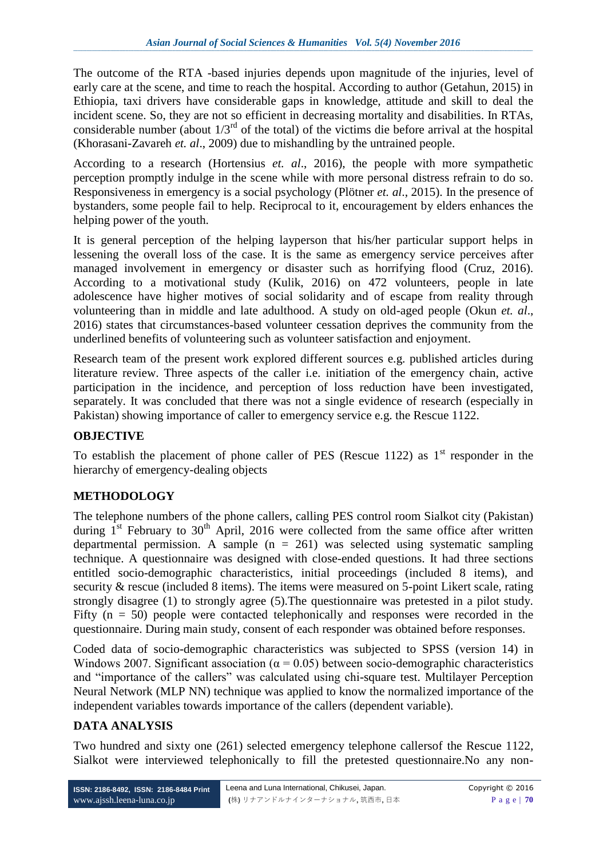The outcome of the RTA -based injuries depends upon magnitude of the injuries, level of early care at the scene, and time to reach the hospital. According to author (Getahun, 2015) in Ethiopia, taxi drivers have considerable gaps in knowledge, attitude and skill to deal the incident scene. So, they are not so efficient in decreasing mortality and disabilities. In RTAs, considerable number (about  $1/3^{rd}$  of the total) of the victims die before arrival at the hospital (Khorasani-Zavareh *et. al*., 2009) due to mishandling by the untrained people.

According to a research (Hortensius *et. al*., 2016), the people with more sympathetic perception promptly indulge in the scene while with more personal distress refrain to do so. Responsiveness in emergency is a social psychology (Plötner *et. al*., 2015). In the presence of bystanders, some people fail to help. Reciprocal to it, encouragement by elders enhances the helping power of the youth.

It is general perception of the helping layperson that his/her particular support helps in lessening the overall loss of the case. It is the same as emergency service perceives after managed involvement in emergency or disaster such as horrifying flood (Cruz, 2016). According to a motivational study (Kulik, 2016) on 472 volunteers, people in late adolescence have higher motives of social solidarity and of escape from reality through volunteering than in middle and late adulthood. A study on old-aged people (Okun *et. al*., 2016) states that circumstances-based volunteer cessation deprives the community from the underlined benefits of volunteering such as volunteer satisfaction and enjoyment.

Research team of the present work explored different sources e.g. published articles during literature review. Three aspects of the caller i.e. initiation of the emergency chain, active participation in the incidence, and perception of loss reduction have been investigated, separately. It was concluded that there was not a single evidence of research (especially in Pakistan) showing importance of caller to emergency service e.g. the Rescue 1122.

## **OBJECTIVE**

To establish the placement of phone caller of PES (Rescue 1122) as  $1<sup>st</sup>$  responder in the hierarchy of emergency-dealing objects

## **METHODOLOGY**

The telephone numbers of the phone callers, calling PES control room Sialkot city (Pakistan) during  $1^{st}$  February to  $30^{th}$  April, 2016 were collected from the same office after written departmental permission. A sample  $(n = 261)$  was selected using systematic sampling technique. A questionnaire was designed with close-ended questions. It had three sections entitled socio-demographic characteristics, initial proceedings (included 8 items), and security & rescue (included 8 items). The items were measured on 5-point Likert scale, rating strongly disagree (1) to strongly agree (5).The questionnaire was pretested in a pilot study. Fifty  $(n = 50)$  people were contacted telephonically and responses were recorded in the questionnaire. During main study, consent of each responder was obtained before responses.

Coded data of socio-demographic characteristics was subjected to SPSS (version 14) in Windows 2007. Significant association ( $\alpha$  = 0.05) between socio-demographic characteristics and "importance of the callers" was calculated using chi-square test. Multilayer Perception Neural Network (MLP NN) technique was applied to know the normalized importance of the independent variables towards importance of the callers (dependent variable).

## **DATA ANALYSIS**

Two hundred and sixty one (261) selected emergency telephone callersof the Rescue 1122, Sialkot were interviewed telephonically to fill the pretested questionnaire.No any non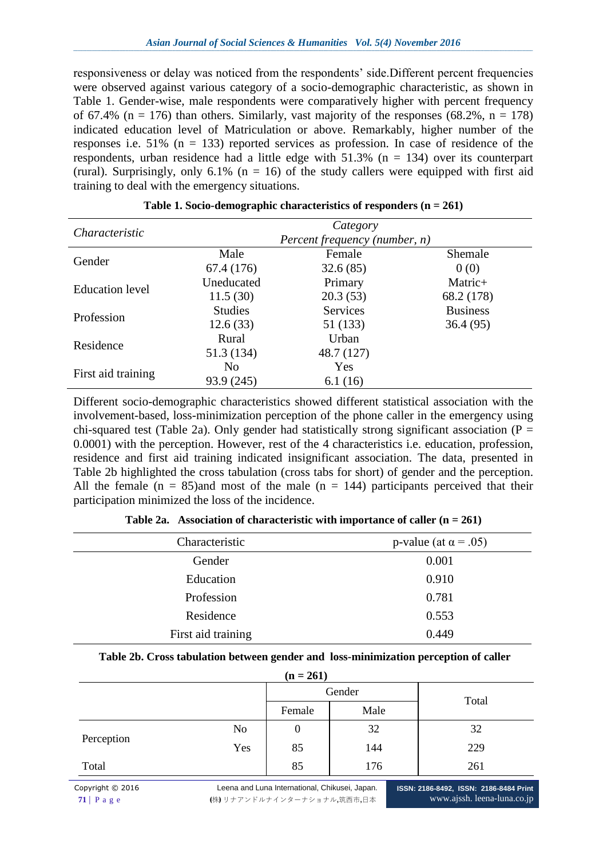responsiveness or delay was noticed from the respondents' side. Different percent frequencies were observed against various category of a socio-demographic characteristic, as shown in Table 1. Gender-wise, male respondents were comparatively higher with percent frequency of 67.4% ( $n = 176$ ) than others. Similarly, vast majority of the responses (68.2%,  $n = 178$ ) indicated education level of Matriculation or above. Remarkably, higher number of the responses i.e.  $51\%$  (n = 133) reported services as profession. In case of residence of the respondents, urban residence had a little edge with  $51.3\%$  (n = 134) over its counterpart (rural). Surprisingly, only  $6.1\%$  (n = 16) of the study callers were equipped with first aid training to deal with the emergency situations.

| Characteristic         |                       | Category                      |                 |
|------------------------|-----------------------|-------------------------------|-----------------|
|                        |                       | Percent frequency (number, n) |                 |
| Gender                 | Male                  | Female                        | Shemale         |
|                        | 67.4 (176)            | 32.6(85)                      | 0(0)            |
| <b>Education</b> level | Uneducated            | Primary                       | Matric+         |
|                        | 11.5(30)              | 20.3(53)                      | 68.2 (178)      |
| Profession             | <b>Studies</b>        | Services                      | <b>Business</b> |
|                        | 12.6(33)              | 51 (133)                      | 36.4(95)        |
| Residence              | Rural                 | Urban                         |                 |
|                        | 51.3 (134)            | 48.7 (127)                    |                 |
|                        | N <sub>0</sub><br>Yes |                               |                 |
| First aid training     | 93.9 (245)            | 6.1(16)                       |                 |

**Table 1. Socio-demographic characteristics of responders (n = 261)**

Different socio-demographic characteristics showed different statistical association with the involvement-based, loss-minimization perception of the phone caller in the emergency using chi-squared test (Table 2a). Only gender had statistically strong significant association ( $P =$ 0.0001) with the perception. However, rest of the 4 characteristics i.e. education, profession, residence and first aid training indicated insignificant association. The data, presented in Table 2b highlighted the cross tabulation (cross tabs for short) of gender and the perception. All the female  $(n = 85)$  and most of the male  $(n = 144)$  participants perceived that their participation minimized the loss of the incidence.

| Characteristic     | p-value (at $\alpha$ = .05) |
|--------------------|-----------------------------|
| Gender             | 0.001                       |
| Education          | 0.910                       |
| Profession         | 0.781                       |
| Residence          | 0.553                       |
| First aid training | 0.449                       |

**Table 2a. Association of characteristic with importance of caller (n = 261)**

#### **Table 2b. Cross tabulation between gender and loss-minimization perception of caller**

|            |                | $(n = 261)$      |        |       |
|------------|----------------|------------------|--------|-------|
|            |                |                  | Gender | Total |
|            |                | Female           | Male   |       |
|            | N <sub>o</sub> | $\boldsymbol{0}$ | 32     | 32    |
| Perception | Yes            | 85               | 144    | 229   |
| Total      |                | 85               | 176    | 261   |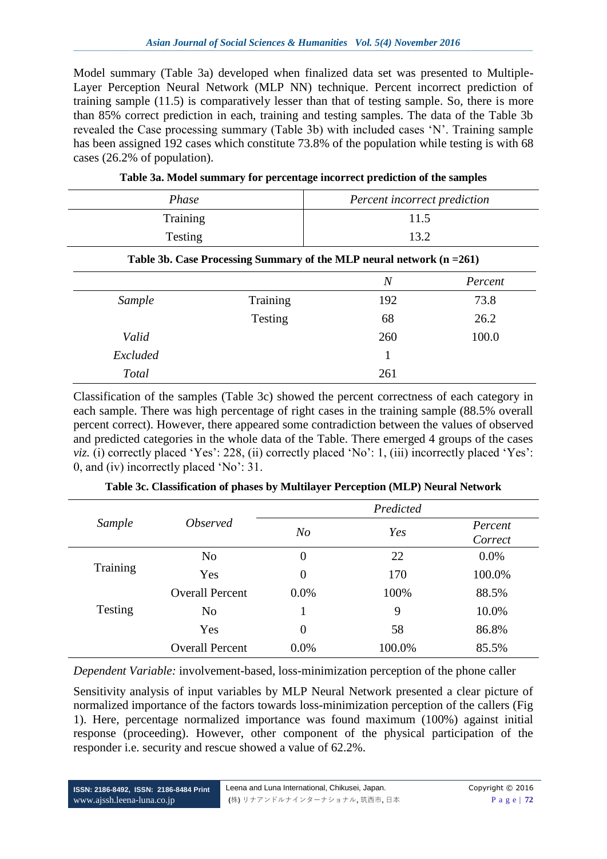Model summary (Table 3a) developed when finalized data set was presented to Multiple-Layer Perception Neural Network (MLP NN) technique. Percent incorrect prediction of training sample (11.5) is comparatively lesser than that of testing sample. So, there is more than 85% correct prediction in each, training and testing samples. The data of the Table 3b revealed the Case processing summary (Table 3b) with included cases "N". Training sample has been assigned 192 cases which constitute 73.8% of the population while testing is with 68 cases (26.2% of population).

| Phase    | Percent incorrect prediction |
|----------|------------------------------|
| Training | 11.5                         |
| Testing  | 13.2                         |

|  |  | Table 3a. Model summary for percentage incorrect prediction of the samples |
|--|--|----------------------------------------------------------------------------|
|--|--|----------------------------------------------------------------------------|

| Table 3b. Case Processing Summary of the MLP neural network (n = 261) |          |                |         |
|-----------------------------------------------------------------------|----------|----------------|---------|
|                                                                       |          | $\overline{N}$ | Percent |
| Sample                                                                | Training | 192            | 73.8    |
|                                                                       | Testing  | 68             | 26.2    |
| Valid                                                                 |          | 260            | 100.0   |
| Excluded                                                              |          |                |         |
| <b>Total</b>                                                          |          | 261            |         |

Classification of the samples (Table 3c) showed the percent correctness of each category in each sample. There was high percentage of right cases in the training sample (88.5% overall percent correct). However, there appeared some contradiction between the values of observed and predicted categories in the whole data of the Table. There emerged 4 groups of the cases *viz.* (i) correctly placed 'Yes': 228, (ii) correctly placed 'No': 1, (iii) incorrectly placed 'Yes': 0, and (iv) incorrectly placed "No": 31.

|          |                        | Predicted      |        |                    |  |
|----------|------------------------|----------------|--------|--------------------|--|
| Sample   | <i><b>Observed</b></i> | N <sub>O</sub> | Yes    | Percent<br>Correct |  |
| Training | N <sub>o</sub>         | $\overline{0}$ | 22     | 0.0%               |  |
|          | Yes                    | 0              | 170    | 100.0%             |  |
|          | <b>Overall Percent</b> | 0.0%           | 100%   | 88.5%              |  |
| Testing  | N <sub>0</sub>         |                | 9      | 10.0%              |  |
|          | Yes                    | $\overline{0}$ | 58     | 86.8%              |  |
|          | <b>Overall Percent</b> | 0.0%           | 100.0% | 85.5%              |  |

**Table 3c. Classification of phases by Multilayer Perception (MLP) Neural Network**

*Dependent Variable:* involvement-based, loss-minimization perception of the phone caller

Sensitivity analysis of input variables by MLP Neural Network presented a clear picture of normalized importance of the factors towards loss-minimization perception of the callers (Fig 1). Here, percentage normalized importance was found maximum (100%) against initial response (proceeding). However, other component of the physical participation of the responder i.e. security and rescue showed a value of 62.2%.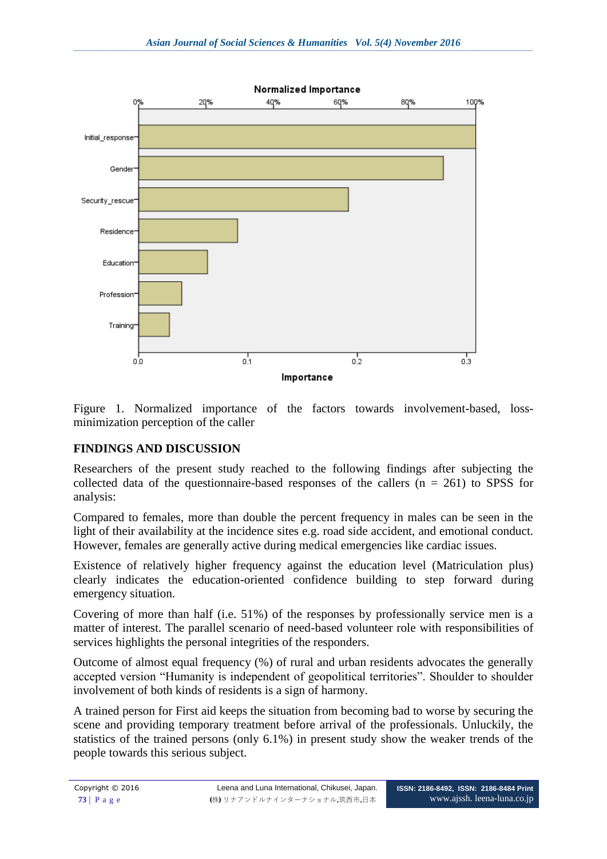

Figure 1. Normalized importance of the factors towards involvement-based, lossminimization perception of the caller

# **FINDINGS AND DISCUSSION**

Researchers of the present study reached to the following findings after subjecting the collected data of the questionnaire-based responses of the callers  $(n = 261)$  to SPSS for analysis:

Compared to females, more than double the percent frequency in males can be seen in the light of their availability at the incidence sites e.g. road side accident, and emotional conduct. However, females are generally active during medical emergencies like cardiac issues.

Existence of relatively higher frequency against the education level (Matriculation plus) clearly indicates the education-oriented confidence building to step forward during emergency situation.

Covering of more than half (i.e. 51%) of the responses by professionally service men is a matter of interest. The parallel scenario of need-based volunteer role with responsibilities of services highlights the personal integrities of the responders.

Outcome of almost equal frequency (%) of rural and urban residents advocates the generally accepted version "Humanity is independent of geopolitical territories". Shoulder to shoulder involvement of both kinds of residents is a sign of harmony.

A trained person for First aid keeps the situation from becoming bad to worse by securing the scene and providing temporary treatment before arrival of the professionals. Unluckily, the statistics of the trained persons (only 6.1%) in present study show the weaker trends of the people towards this serious subject.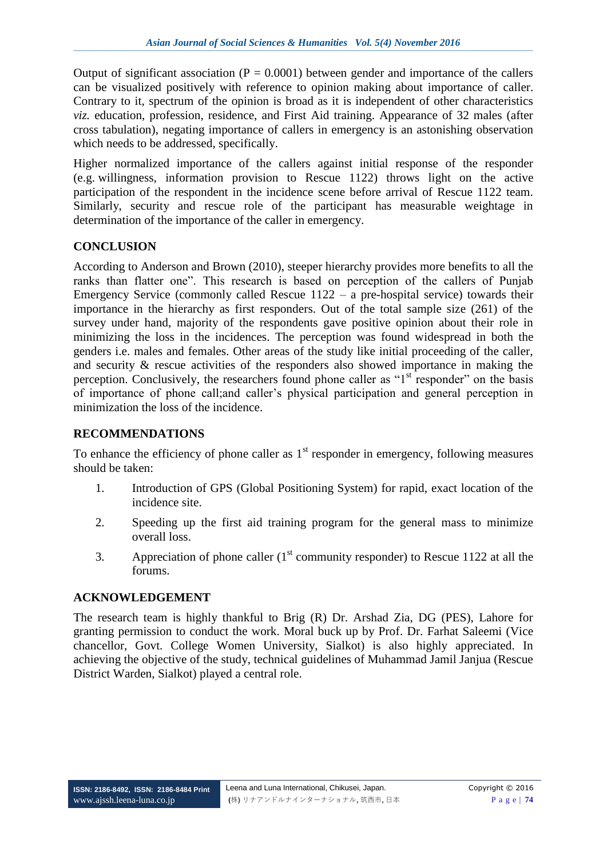Output of significant association ( $P = 0.0001$ ) between gender and importance of the callers can be visualized positively with reference to opinion making about importance of caller. Contrary to it, spectrum of the opinion is broad as it is independent of other characteristics *viz.* education, profession, residence, and First Aid training. Appearance of 32 males (after cross tabulation), negating importance of callers in emergency is an astonishing observation which needs to be addressed, specifically.

Higher normalized importance of the callers against initial response of the responder (e.g. willingness, information provision to Rescue 1122) throws light on the active participation of the respondent in the incidence scene before arrival of Rescue 1122 team. Similarly, security and rescue role of the participant has measurable weightage in determination of the importance of the caller in emergency.

### **CONCLUSION**

According to Anderson and Brown (2010), steeper hierarchy provides more benefits to all the ranks than flatter one". This research is based on perception of the callers of Punjab Emergency Service (commonly called Rescue 1122 – a pre-hospital service) towards their importance in the hierarchy as first responders. Out of the total sample size (261) of the survey under hand, majority of the respondents gave positive opinion about their role in minimizing the loss in the incidences. The perception was found widespread in both the genders i.e. males and females. Other areas of the study like initial proceeding of the caller, and security & rescue activities of the responders also showed importance in making the perception. Conclusively, the researchers found phone caller as " $1<sup>st</sup>$  responder" on the basis of importance of phone call;and caller"s physical participation and general perception in minimization the loss of the incidence.

#### **RECOMMENDATIONS**

To enhance the efficiency of phone caller as  $1<sup>st</sup>$  responder in emergency, following measures should be taken:

- 1. Introduction of GPS (Global Positioning System) for rapid, exact location of the incidence site.
- 2. Speeding up the first aid training program for the general mass to minimize overall loss.
- 3. Appreciation of phone caller  $(1<sup>st</sup>$  community responder) to Rescue 1122 at all the forums.

#### **ACKNOWLEDGEMENT**

The research team is highly thankful to Brig (R) Dr. Arshad Zia, DG (PES), Lahore for granting permission to conduct the work. Moral buck up by Prof. Dr. Farhat Saleemi (Vice chancellor, Govt. College Women University, Sialkot) is also highly appreciated. In achieving the objective of the study, technical guidelines of Muhammad Jamil Janjua (Rescue District Warden, Sialkot) played a central role.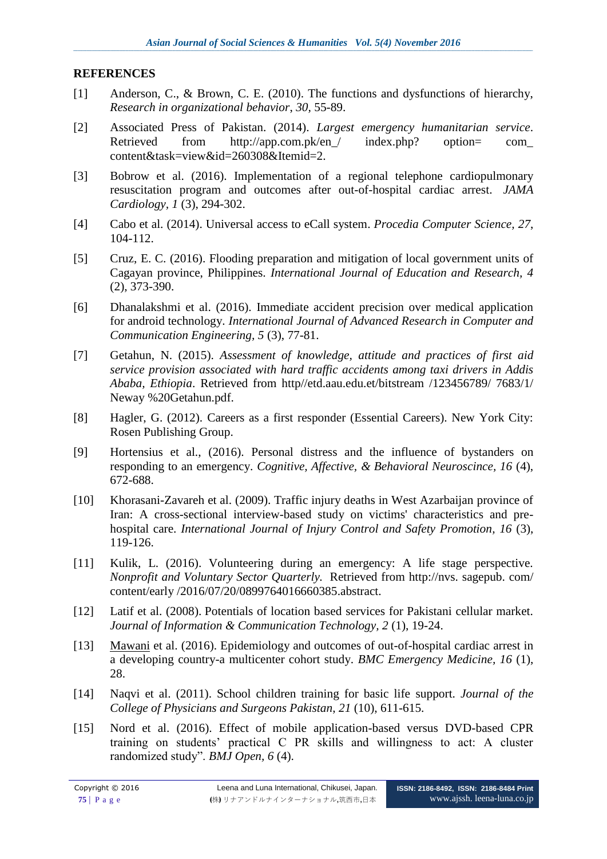#### **REFERENCES**

- [1] Anderson, C., & Brown, C. E. (2010). The functions and dysfunctions of hierarchy, *Research in organizational behavior*, *30,* 55-89.
- [2] Associated Press of Pakistan. (2014). *Largest emergency humanitarian service*. Retrieved from http://app.com.pk/en/ index.php? option= com content&task=view&id=260308&Itemid=2.
- [3] Bobrow et al. (2016). Implementation of a regional telephone cardiopulmonary resuscitation program and outcomes after out-of-hospital cardiac arrest. *JAMA Cardiology, 1* (3), 294-302.
- [4] Cabo et al. (2014). Universal access to eCall system. *Procedia Computer Science, 27*, 104-112.
- [5] Cruz, E. C. (2016). Flooding preparation and mitigation of local government units of Cagayan province, Philippines. *International Journal of Education and Research, 4*  (2), 373-390.
- [6] Dhanalakshmi et al. (2016). Immediate accident precision over medical application for android technology. *International Journal of Advanced Research in Computer and Communication Engineering, 5* (3), 77-81.
- [7] Getahun, N. (2015). *Assessment of knowledge, attitude and practices of first aid service provision associated with hard traffic accidents among taxi drivers in Addis Ababa, Ethiopia*. Retrieved from http//etd.aau.edu.et/bitstream /123456789/ 7683/1/ Neway %20Getahun.pdf.
- [8] Hagler, G. (2012). Careers as a first responder (Essential Careers). New York City: Rosen Publishing Group.
- [9] [Hortensius et al.,](http://www.ncbi.nlm.nih.gov/pubmed/?term=Hortensius%20R%5BAuthor%5D&cauthor=true&cauthor_uid=27126708) (2016). Personal distress and the influence of bystanders on responding to an emergency. *Cognitive, Affective, & Behavioral Neuroscince, 16* (4), 672-688.
- [10] [Khorasani-Zavareh](http://www.ncbi.nlm.nih.gov/pubmed/?term=Khorasani-Zavareh%20D%5BAuthor%5D&cauthor=true&cauthor_uid=19941209) et al. (2009). Traffic injury deaths in West Azarbaijan province of Iran: A cross-sectional interview-based study on victims' characteristics and prehospital care. *[International Journal of Injury Control and Safety Promotion,](http://www.tandfonline.com/toc/nics20/current) 16* (3), 119-126.
- [11] Kulik, L. (2016). Volunteering during an emergency: A life stage perspective. *Nonprofit and Voluntary Sector Quarterly.* Retrieved from http://nvs. sagepub. com/ content/early /2016/07/20/0899764016660385.abstract.
- [12] Latif et al. (2008). Potentials of location based services for Pakistani cellular market. *Journal of Information & Communication Technology, 2* (1), 19-24.
- [13] [Mawani](http://www.ncbi.nlm.nih.gov/pubmed/?term=Mawani%20M%5BAuthor%5D&cauthor=true&cauthor_uid=27465304) et al. (2016). Epidemiology and outcomes of out-of-hospital cardiac arrest in a developing country-a multicenter cohort study. *BMC Emergency Medicine, 16* (1), 28.
- [14] Naqvi et al. (2011). School children training for basic life support. *Journal of the College of Physicians and Surgeons Pakistan*, *21* (10), 611-615.
- [15] [Nord](http://bmjopen.bmj.com/search?author1=Anette+Nord&sortspec=date&submit=Submit) et al. (2016). Effect of mobile application-based versus DVD-based CPR training on students" practical C PR skills and willingness to act: A cluster randomized study". *BMJ Open, 6* (4).